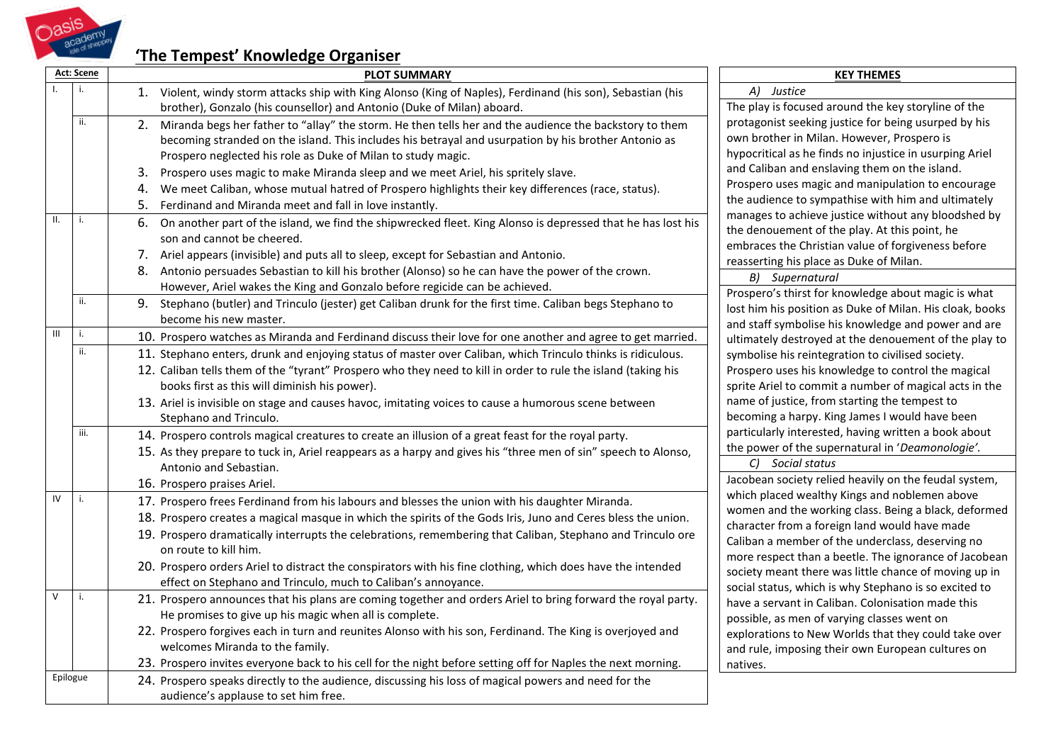

## **'The Tempest' Knowledge Organiser**

|                 | Act: Scene | <b>PLOT SUMMARY</b>                                                                                               | <b>KEY THEMES</b>                                                                                                                                                                                                                                                                                                                                                                                                                                                                                              |  |  |
|-----------------|------------|-------------------------------------------------------------------------------------------------------------------|----------------------------------------------------------------------------------------------------------------------------------------------------------------------------------------------------------------------------------------------------------------------------------------------------------------------------------------------------------------------------------------------------------------------------------------------------------------------------------------------------------------|--|--|
|                 | i.         | 1. Violent, windy storm attacks ship with King Alonso (King of Naples), Ferdinand (his son), Sebastian (his       | A) Justice                                                                                                                                                                                                                                                                                                                                                                                                                                                                                                     |  |  |
|                 |            | brother), Gonzalo (his counsellor) and Antonio (Duke of Milan) aboard.                                            | The play is focused around the key storyline of the<br>protagonist seeking justice for being usurped by his<br>own brother in Milan. However, Prospero is                                                                                                                                                                                                                                                                                                                                                      |  |  |
|                 | ii.        | 2.<br>Miranda begs her father to "allay" the storm. He then tells her and the audience the backstory to them      |                                                                                                                                                                                                                                                                                                                                                                                                                                                                                                                |  |  |
|                 |            | becoming stranded on the island. This includes his betrayal and usurpation by his brother Antonio as              |                                                                                                                                                                                                                                                                                                                                                                                                                                                                                                                |  |  |
|                 |            | Prospero neglected his role as Duke of Milan to study magic.                                                      | hypocritical as he finds no injustice in usurping Ariel                                                                                                                                                                                                                                                                                                                                                                                                                                                        |  |  |
|                 |            | 3.<br>Prospero uses magic to make Miranda sleep and we meet Ariel, his spritely slave.                            | and Caliban and enslaving them on the island.                                                                                                                                                                                                                                                                                                                                                                                                                                                                  |  |  |
|                 |            | We meet Caliban, whose mutual hatred of Prospero highlights their key differences (race, status).<br>4.           | Prospero uses magic and manipulation to encourage                                                                                                                                                                                                                                                                                                                                                                                                                                                              |  |  |
|                 |            | 5.<br>Ferdinand and Miranda meet and fall in love instantly.                                                      | the audience to sympathise with him and ultimately<br>manages to achieve justice without any bloodshed by<br>the denouement of the play. At this point, he<br>embraces the Christian value of forgiveness before<br>reasserting his place as Duke of Milan.<br>B) Supernatural<br>Prospero's thirst for knowledge about magic is what<br>lost him his position as Duke of Milan. His cloak, books<br>and staff symbolise his knowledge and power and are                                                       |  |  |
| $\mathbf{II}$ . | i.         | 6.<br>On another part of the island, we find the shipwrecked fleet. King Alonso is depressed that he has lost his |                                                                                                                                                                                                                                                                                                                                                                                                                                                                                                                |  |  |
|                 |            | son and cannot be cheered.                                                                                        |                                                                                                                                                                                                                                                                                                                                                                                                                                                                                                                |  |  |
|                 |            | 7. Ariel appears (invisible) and puts all to sleep, except for Sebastian and Antonio.                             |                                                                                                                                                                                                                                                                                                                                                                                                                                                                                                                |  |  |
|                 |            | Antonio persuades Sebastian to kill his brother (Alonso) so he can have the power of the crown.<br>8.             |                                                                                                                                                                                                                                                                                                                                                                                                                                                                                                                |  |  |
|                 |            | However, Ariel wakes the King and Gonzalo before regicide can be achieved.                                        |                                                                                                                                                                                                                                                                                                                                                                                                                                                                                                                |  |  |
|                 | ii.        | 9.<br>Stephano (butler) and Trinculo (jester) get Caliban drunk for the first time. Caliban begs Stephano to      |                                                                                                                                                                                                                                                                                                                                                                                                                                                                                                                |  |  |
|                 |            | become his new master.                                                                                            |                                                                                                                                                                                                                                                                                                                                                                                                                                                                                                                |  |  |
| $\mathbf{III}$  | i.         | 10. Prospero watches as Miranda and Ferdinand discuss their love for one another and agree to get married.        | ultimately destroyed at the denouement of the play to                                                                                                                                                                                                                                                                                                                                                                                                                                                          |  |  |
|                 | ii.        | 11. Stephano enters, drunk and enjoying status of master over Caliban, which Trinculo thinks is ridiculous.       | symbolise his reintegration to civilised society.<br>Prospero uses his knowledge to control the magical<br>sprite Ariel to commit a number of magical acts in the<br>name of justice, from starting the tempest to<br>becoming a harpy. King James I would have been<br>particularly interested, having written a book about<br>the power of the supernatural in 'Deamonologie'.<br>C) Social status<br>Jacobean society relied heavily on the feudal system,<br>which placed wealthy Kings and noblemen above |  |  |
|                 |            | 12. Caliban tells them of the "tyrant" Prospero who they need to kill in order to rule the island (taking his     |                                                                                                                                                                                                                                                                                                                                                                                                                                                                                                                |  |  |
|                 |            | books first as this will diminish his power).                                                                     |                                                                                                                                                                                                                                                                                                                                                                                                                                                                                                                |  |  |
|                 |            | 13. Ariel is invisible on stage and causes havoc, imitating voices to cause a humorous scene between              |                                                                                                                                                                                                                                                                                                                                                                                                                                                                                                                |  |  |
|                 |            | Stephano and Trinculo.                                                                                            |                                                                                                                                                                                                                                                                                                                                                                                                                                                                                                                |  |  |
|                 | iii.       | 14. Prospero controls magical creatures to create an illusion of a great feast for the royal party.               |                                                                                                                                                                                                                                                                                                                                                                                                                                                                                                                |  |  |
|                 |            | 15. As they prepare to tuck in, Ariel reappears as a harpy and gives his "three men of sin" speech to Alonso,     |                                                                                                                                                                                                                                                                                                                                                                                                                                                                                                                |  |  |
|                 |            | Antonio and Sebastian.                                                                                            |                                                                                                                                                                                                                                                                                                                                                                                                                                                                                                                |  |  |
|                 |            | 16. Prospero praises Ariel.                                                                                       |                                                                                                                                                                                                                                                                                                                                                                                                                                                                                                                |  |  |
| IV              | i.         | 17. Prospero frees Ferdinand from his labours and blesses the union with his daughter Miranda.                    | women and the working class. Being a black, deformed                                                                                                                                                                                                                                                                                                                                                                                                                                                           |  |  |
|                 |            | 18. Prospero creates a magical masque in which the spirits of the Gods Iris, Juno and Ceres bless the union.      | character from a foreign land would have made                                                                                                                                                                                                                                                                                                                                                                                                                                                                  |  |  |
|                 |            | 19. Prospero dramatically interrupts the celebrations, remembering that Caliban, Stephano and Trinculo ore        | Caliban a member of the underclass, deserving no                                                                                                                                                                                                                                                                                                                                                                                                                                                               |  |  |
|                 |            | on route to kill him.                                                                                             | more respect than a beetle. The ignorance of Jacobean                                                                                                                                                                                                                                                                                                                                                                                                                                                          |  |  |
|                 |            | 20. Prospero orders Ariel to distract the conspirators with his fine clothing, which does have the intended       | society meant there was little chance of moving up in                                                                                                                                                                                                                                                                                                                                                                                                                                                          |  |  |
|                 |            | effect on Stephano and Trinculo, much to Caliban's annoyance.                                                     | social status, which is why Stephano is so excited to                                                                                                                                                                                                                                                                                                                                                                                                                                                          |  |  |
| $\vee$          | i.         | 21. Prospero announces that his plans are coming together and orders Ariel to bring forward the royal party.      | have a servant in Caliban. Colonisation made this                                                                                                                                                                                                                                                                                                                                                                                                                                                              |  |  |
|                 |            | He promises to give up his magic when all is complete.                                                            | possible, as men of varying classes went on                                                                                                                                                                                                                                                                                                                                                                                                                                                                    |  |  |
|                 |            | 22. Prospero forgives each in turn and reunites Alonso with his son, Ferdinand. The King is overjoyed and         | explorations to New Worlds that they could take over                                                                                                                                                                                                                                                                                                                                                                                                                                                           |  |  |
|                 |            | welcomes Miranda to the family.                                                                                   | and rule, imposing their own European cultures on                                                                                                                                                                                                                                                                                                                                                                                                                                                              |  |  |
|                 |            | 23. Prospero invites everyone back to his cell for the night before setting off for Naples the next morning.      | natives.                                                                                                                                                                                                                                                                                                                                                                                                                                                                                                       |  |  |
|                 | Epilogue   | 24. Prospero speaks directly to the audience, discussing his loss of magical powers and need for the              |                                                                                                                                                                                                                                                                                                                                                                                                                                                                                                                |  |  |
|                 |            | audience's applause to set him free.                                                                              |                                                                                                                                                                                                                                                                                                                                                                                                                                                                                                                |  |  |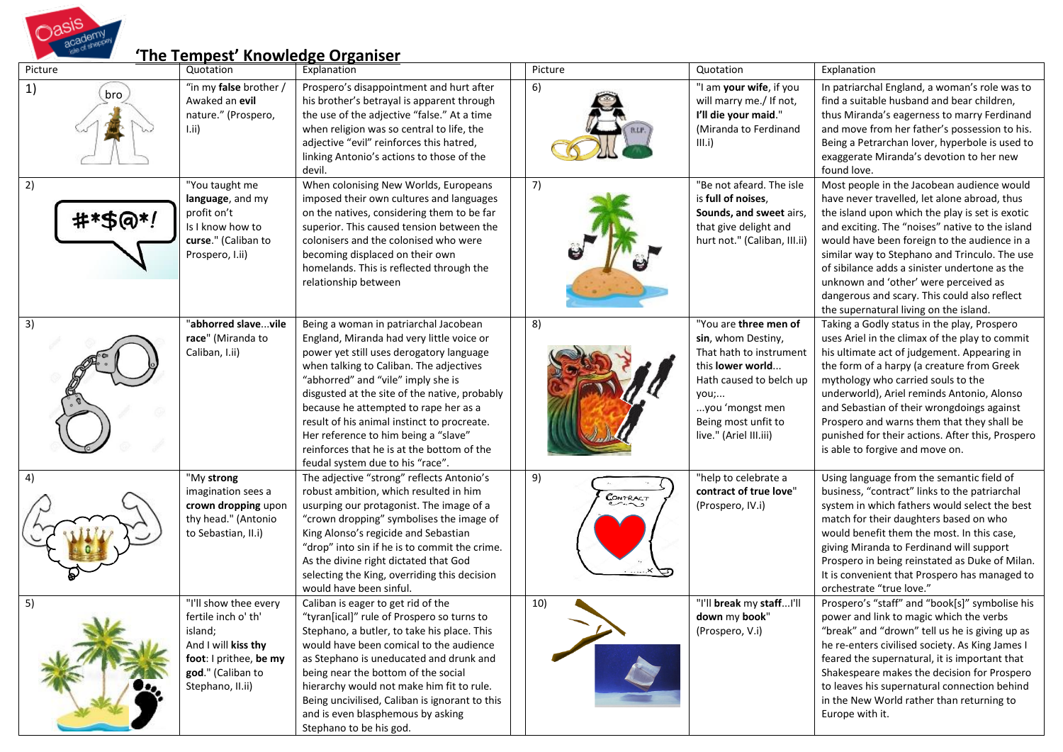

## **'The Tempest' Knowledge Organiser**

| Picture       | Quotation                                                                                                                                         | Explanation                                                                                                                                                                                                                                                                                                                                                                                                                                                                        | Picture        | Quotation                                                                                                                                                                                         | Explanation                                                                                                                                                                                                                                                                                                                                                                                                                                                                           |
|---------------|---------------------------------------------------------------------------------------------------------------------------------------------------|------------------------------------------------------------------------------------------------------------------------------------------------------------------------------------------------------------------------------------------------------------------------------------------------------------------------------------------------------------------------------------------------------------------------------------------------------------------------------------|----------------|---------------------------------------------------------------------------------------------------------------------------------------------------------------------------------------------------|---------------------------------------------------------------------------------------------------------------------------------------------------------------------------------------------------------------------------------------------------------------------------------------------------------------------------------------------------------------------------------------------------------------------------------------------------------------------------------------|
| 1)<br>bro     | "in my false brother /<br>Awaked an evil<br>nature." (Prospero,<br>Lii)                                                                           | Prospero's disappointment and hurt after<br>his brother's betrayal is apparent through<br>the use of the adjective "false." At a time<br>when religion was so central to life, the<br>adjective "evil" reinforces this hatred,<br>linking Antonio's actions to those of the<br>devil.                                                                                                                                                                                              | 6)             | "I am your wife, if you<br>will marry me./ If not,<br>I'll die your maid."<br>(Miranda to Ferdinand<br>III.i)                                                                                     | In patriarchal England, a woman's role was to<br>find a suitable husband and bear children,<br>thus Miranda's eagerness to marry Ferdinand<br>and move from her father's possession to his.<br>Being a Petrarchan lover, hyperbole is used to<br>exaggerate Miranda's devotion to her new<br>found love.                                                                                                                                                                              |
| 2)<br>#*\$@*! | "You taught me<br>language, and my<br>profit on't<br>Is I know how to<br>curse." (Caliban to<br>Prospero, I.ii)                                   | When colonising New Worlds, Europeans<br>imposed their own cultures and languages<br>on the natives, considering them to be far<br>superior. This caused tension between the<br>colonisers and the colonised who were<br>becoming displaced on their own<br>homelands. This is reflected through the<br>relationship between                                                                                                                                                       | 7)             | "Be not afeard. The isle<br>is full of noises.<br>Sounds, and sweet airs,<br>that give delight and<br>hurt not." (Caliban, III.ii)                                                                | Most people in the Jacobean audience would<br>have never travelled, let alone abroad, thus<br>the island upon which the play is set is exotic<br>and exciting. The "noises" native to the island<br>would have been foreign to the audience in a<br>similar way to Stephano and Trinculo. The use<br>of sibilance adds a sinister undertone as the<br>unknown and 'other' were perceived as<br>dangerous and scary. This could also reflect<br>the supernatural living on the island. |
| 3)            | "abhorred slavevile<br>race" (Miranda to<br>Caliban, I.ii)                                                                                        | Being a woman in patriarchal Jacobean<br>England, Miranda had very little voice or<br>power yet still uses derogatory language<br>when talking to Caliban. The adjectives<br>"abhorred" and "vile" imply she is<br>disgusted at the site of the native, probably<br>because he attempted to rape her as a<br>result of his animal instinct to procreate.<br>Her reference to him being a "slave"<br>reinforces that he is at the bottom of the<br>feudal system due to his "race". | 8)             | "You are three men of<br>sin, whom Destiny,<br>That hath to instrument<br>this lower world<br>Hath caused to belch up<br>you;<br>you 'mongst men<br>Being most unfit to<br>live." (Ariel III.iii) | Taking a Godly status in the play, Prospero<br>uses Ariel in the climax of the play to commit<br>his ultimate act of judgement. Appearing in<br>the form of a harpy (a creature from Greek<br>mythology who carried souls to the<br>underworld), Ariel reminds Antonio, Alonso<br>and Sebastian of their wrongdoings against<br>Prospero and warns them that they shall be<br>punished for their actions. After this, Prospero<br>is able to forgive and move on.                     |
|               | "My strong<br>imagination sees a<br>crown dropping upon<br>thy head." (Antonio<br>to Sebastian, II.i)                                             | The adjective "strong" reflects Antonio's<br>robust ambition, which resulted in him<br>usurping our protagonist. The image of a<br>"crown dropping" symbolises the image of<br>King Alonso's regicide and Sebastian<br>"drop" into sin if he is to commit the crime.<br>As the divine right dictated that God<br>selecting the King, overriding this decision<br>would have been sinful.                                                                                           | 9)<br>CONTRACT | "help to celebrate a<br>contract of true love"<br>(Prospero, IV.i)                                                                                                                                | Using language from the semantic field of<br>business, "contract" links to the patriarchal<br>system in which fathers would select the best<br>match for their daughters based on who<br>would benefit them the most. In this case,<br>giving Miranda to Ferdinand will support<br>Prospero in being reinstated as Duke of Milan.<br>It is convenient that Prospero has managed to<br>orchestrate "true love."                                                                        |
| 5)            | "I'll show thee every<br>fertile inch o' th'<br>island;<br>And I will kiss thy<br>foot: I prithee, be my<br>god." (Caliban to<br>Stephano, II.ii) | Caliban is eager to get rid of the<br>"tyran[ical]" rule of Prospero so turns to<br>Stephano, a butler, to take his place. This<br>would have been comical to the audience<br>as Stephano is uneducated and drunk and<br>being near the bottom of the social<br>hierarchy would not make him fit to rule.<br>Being uncivilised, Caliban is ignorant to this<br>and is even blasphemous by asking<br>Stephano to be his god.                                                        | 10)            | "I'll break my staffI'll<br>down my book"<br>(Prospero, V.i)                                                                                                                                      | Prospero's "staff" and "book[s]" symbolise his<br>power and link to magic which the verbs<br>"break" and "drown" tell us he is giving up as<br>he re-enters civilised society. As King James I<br>feared the supernatural, it is important that<br>Shakespeare makes the decision for Prospero<br>to leaves his supernatural connection behind<br>in the New World rather than returning to<br>Europe with it.                                                                        |